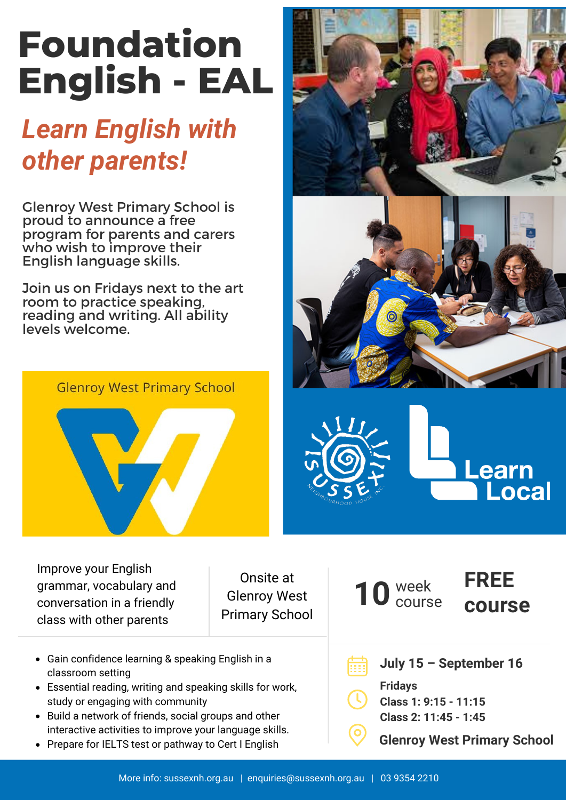## **Foundation English - EAL**

## *Learn English with other parents!*

Glenroy West Primary School is proud to announce a free program for parents and carers who wish to improve their English language skills.

Join us on Fridays next to the art room to practice speaking, reading and writing. All ability levels welcome.





Onsite at Glenroy West Primary School

- Gain confidence learning & speaking English in a classroom setting
- Essential reading, writing and speaking skills for work, study or engaging with community
- Build a network of friends, social groups and other interactive activities to improve your language skills.
- Prepare for IELTS test or pathway to Cert I English







**FREE**

**course**

**July 15 – September 16**

**Fridays Class 1: 9:15 - 11:15 Class 2: 11:45 - 1:45**

10 week

**Glenroy West Primary School**